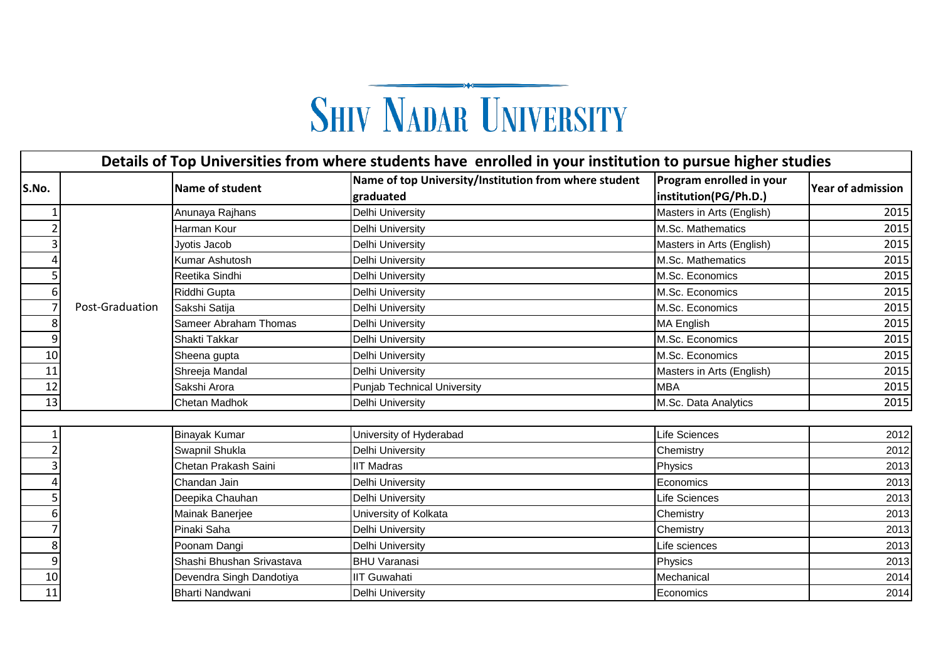## **SHIV NADAR UNIVERSITY**

|                | Details of Top Universities from where students have enrolled in your institution to pursue higher studies |                           |                                                                    |                                                   |                          |  |  |  |  |
|----------------|------------------------------------------------------------------------------------------------------------|---------------------------|--------------------------------------------------------------------|---------------------------------------------------|--------------------------|--|--|--|--|
| S.No.          |                                                                                                            | Name of student           | Name of top University/Institution from where student<br>graduated | Program enrolled in your<br>institution(PG/Ph.D.) | <b>Year of admission</b> |  |  |  |  |
|                |                                                                                                            | Anunaya Rajhans           | Delhi University                                                   | Masters in Arts (English)                         | 2015                     |  |  |  |  |
| $\overline{2}$ |                                                                                                            | Harman Kour               | Delhi University                                                   | M.Sc. Mathematics                                 | 2015                     |  |  |  |  |
| 3              |                                                                                                            | Jyotis Jacob              | <b>Delhi University</b>                                            | Masters in Arts (English)                         | 2015                     |  |  |  |  |
| 4              |                                                                                                            | Kumar Ashutosh            | <b>Delhi University</b>                                            | M.Sc. Mathematics                                 | 2015                     |  |  |  |  |
| 5              |                                                                                                            | Reetika Sindhi            | Delhi University                                                   | M.Sc. Economics                                   | 2015                     |  |  |  |  |
| 6              |                                                                                                            | Riddhi Gupta              | Delhi University                                                   | M.Sc. Economics                                   | 2015                     |  |  |  |  |
| $\overline{7}$ | Post-Graduation                                                                                            | Sakshi Satija             | <b>Delhi University</b>                                            | M.Sc. Economics                                   | 2015                     |  |  |  |  |
| 8              |                                                                                                            | Sameer Abraham Thomas     | Delhi University                                                   | <b>MA English</b>                                 | 2015                     |  |  |  |  |
| 9              |                                                                                                            | Shakti Takkar             | Delhi University                                                   | M.Sc. Economics                                   | 2015                     |  |  |  |  |
| 10             |                                                                                                            | Sheena gupta              | <b>Delhi University</b>                                            | M.Sc. Economics                                   | 2015                     |  |  |  |  |
| 11             |                                                                                                            | Shreeja Mandal            | Delhi University                                                   | Masters in Arts (English)                         | 2015                     |  |  |  |  |
| 12             |                                                                                                            | Sakshi Arora              | <b>Punjab Technical University</b>                                 | <b>MBA</b>                                        | 2015                     |  |  |  |  |
| 13             |                                                                                                            | <b>Chetan Madhok</b>      | Delhi University                                                   | M.Sc. Data Analytics                              | 2015                     |  |  |  |  |
|                |                                                                                                            |                           |                                                                    |                                                   |                          |  |  |  |  |
| 1              |                                                                                                            | <b>Binayak Kumar</b>      | University of Hyderabad                                            | Life Sciences                                     | 2012                     |  |  |  |  |
| $\overline{2}$ |                                                                                                            | Swapnil Shukla            | Delhi University                                                   | Chemistry                                         | 2012                     |  |  |  |  |
| 3              |                                                                                                            | Chetan Prakash Saini      | <b>IIT Madras</b>                                                  | Physics                                           | 2013                     |  |  |  |  |
| 4              |                                                                                                            | Chandan Jain              | Delhi University                                                   | Economics                                         | 2013                     |  |  |  |  |
| 5              |                                                                                                            | Deepika Chauhan           | Delhi University                                                   | Life Sciences                                     | 2013                     |  |  |  |  |
| 6              |                                                                                                            | Mainak Banerjee           | University of Kolkata                                              | Chemistry                                         | 2013                     |  |  |  |  |
| 7              |                                                                                                            | Pinaki Saha               | Delhi University                                                   | Chemistry                                         | 2013                     |  |  |  |  |
| 8              |                                                                                                            | Poonam Dangi              | Delhi University                                                   | Life sciences                                     | 2013                     |  |  |  |  |
| 9              |                                                                                                            | Shashi Bhushan Srivastava | <b>BHU Varanasi</b>                                                | Physics                                           | 2013                     |  |  |  |  |
| 10             |                                                                                                            | Devendra Singh Dandotiya  | <b>IIT Guwahati</b>                                                | Mechanical                                        | 2014                     |  |  |  |  |
| 11             |                                                                                                            | Bharti Nandwani           | Delhi University                                                   | Economics                                         | 2014                     |  |  |  |  |